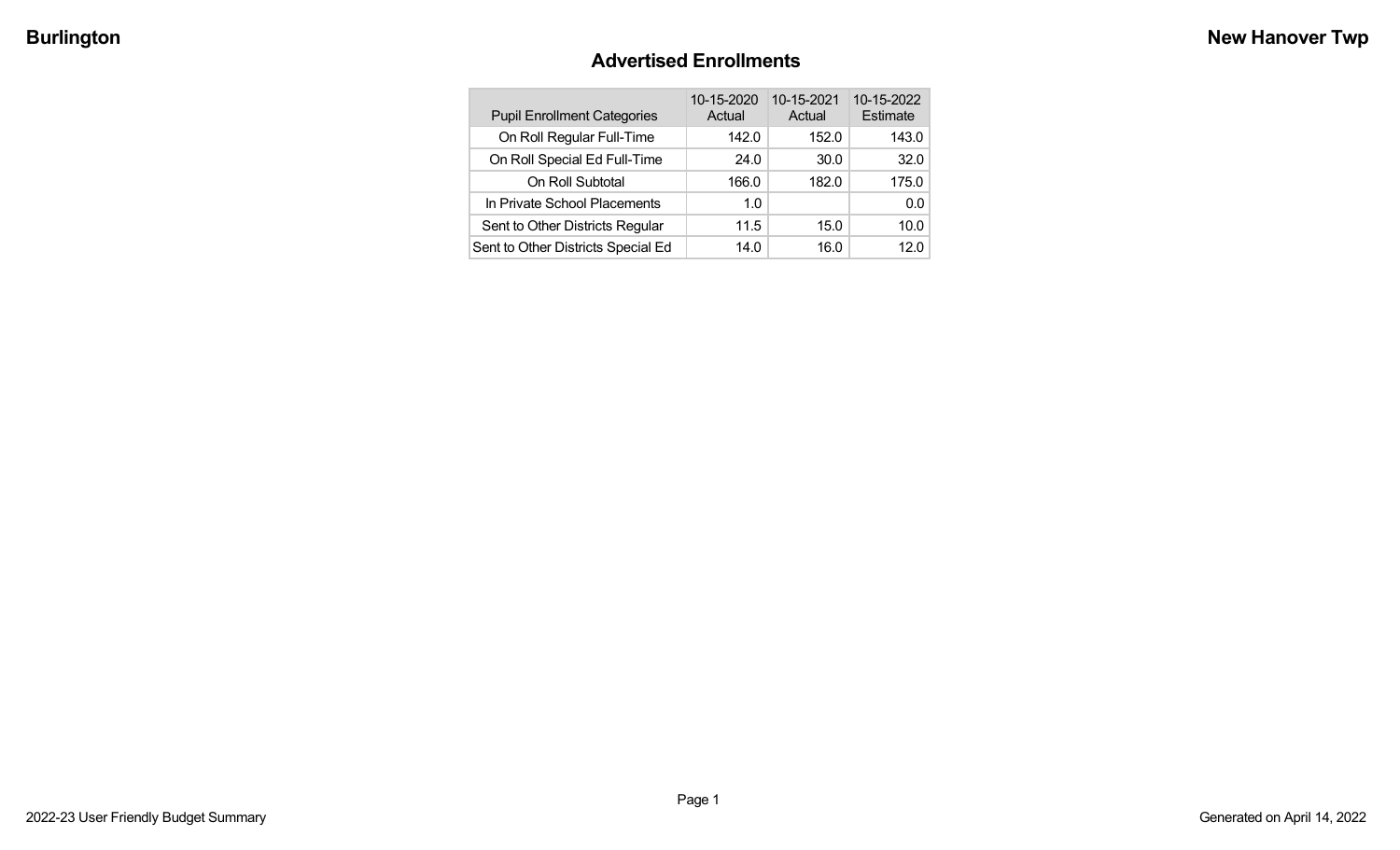### **Advertised Enrollments**

| <b>Pupil Enrollment Categories</b> | 10-15-2020<br>Actual | 10-15-2021<br>Actual | 10-15-2022<br>Estimate |
|------------------------------------|----------------------|----------------------|------------------------|
| On Roll Regular Full-Time          | 142.0                | 152.0                | 143.0                  |
| On Roll Special Ed Full-Time       | 24.0                 | 30.0                 | 32.0                   |
| On Roll Subtotal                   | 166.0                | 182.0                | 175.0                  |
| In Private School Placements       | 1.0                  |                      | 0.0                    |
| Sent to Other Districts Regular    | 11.5                 | 15.0                 | 10.0                   |
| Sent to Other Districts Special Ed | 14.0                 | 16.0                 | 12.0                   |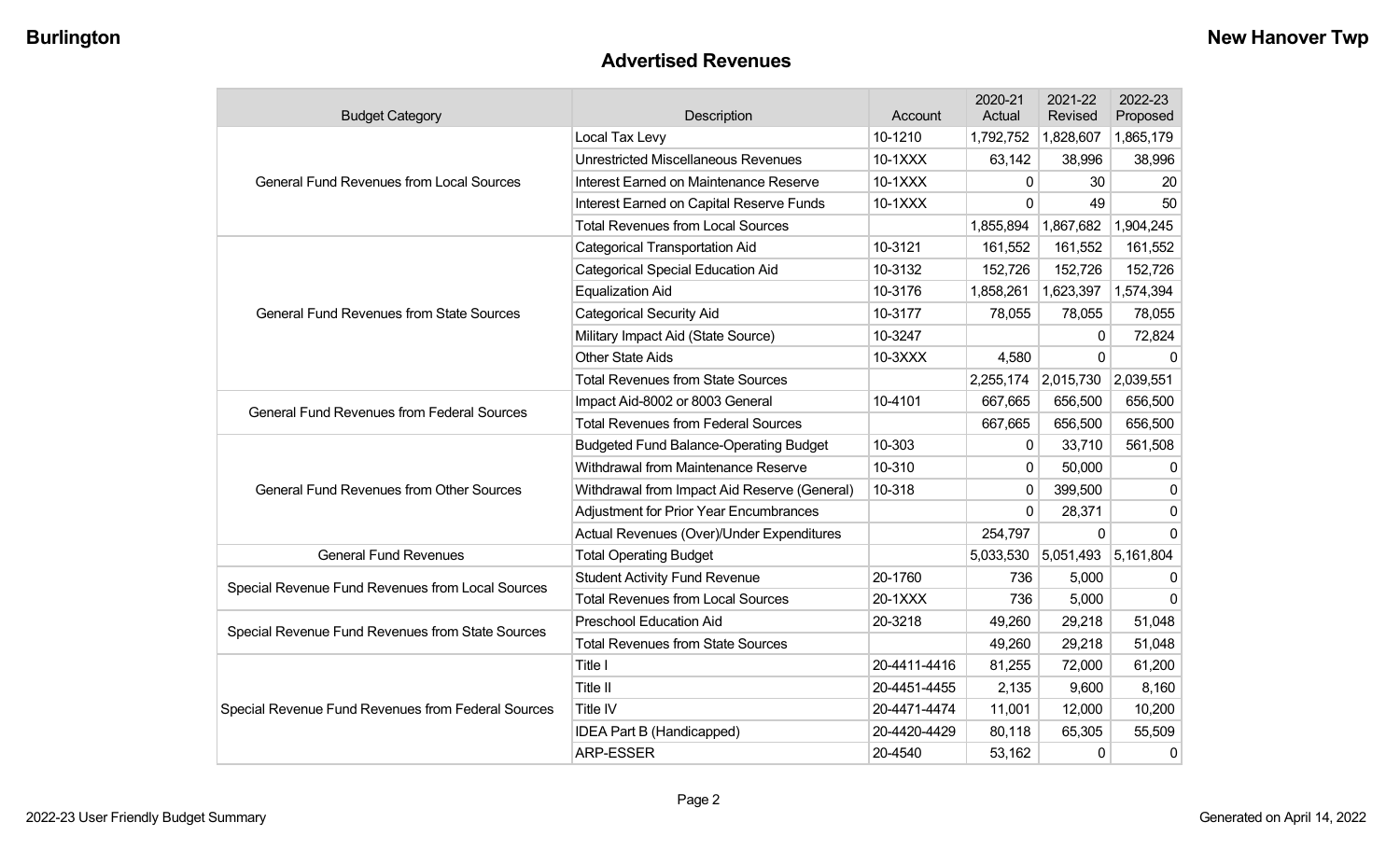### **Advertised Revenues**

| <b>Budget Category</b>                             | Description                                   | Account      | 2020-21<br>Actual | 2021-22<br>Revised | 2022-23<br>Proposed |
|----------------------------------------------------|-----------------------------------------------|--------------|-------------------|--------------------|---------------------|
|                                                    | Local Tax Levy                                | 10-1210      | 1,792,752         | 1,828,607          | 1,865,179           |
|                                                    | <b>Unrestricted Miscellaneous Revenues</b>    | 10-1XXX      | 63,142            | 38,996             | 38,996              |
| <b>General Fund Revenues from Local Sources</b>    | Interest Earned on Maintenance Reserve        | 10-1XXX      | $\mathbf{0}$      | 30                 | 20                  |
|                                                    | Interest Earned on Capital Reserve Funds      | $10-1XXX$    | $\Omega$          | 49                 | 50                  |
|                                                    | <b>Total Revenues from Local Sources</b>      |              | 1,855,894         | 1,867,682          | 1,904,245           |
|                                                    | <b>Categorical Transportation Aid</b>         | 10-3121      | 161,552           | 161,552            | 161,552             |
|                                                    | <b>Categorical Special Education Aid</b>      | 10-3132      | 152,726           | 152,726            | 152,726             |
|                                                    | <b>Equalization Aid</b>                       | 10-3176      | 1,858,261         | 1,623,397          | 1,574,394           |
| <b>General Fund Revenues from State Sources</b>    | <b>Categorical Security Aid</b>               | 10-3177      | 78,055            | 78,055             | 78,055              |
|                                                    | Military Impact Aid (State Source)            | 10-3247      |                   | $\mathbf{0}$       | 72,824              |
|                                                    | <b>Other State Aids</b>                       | 10-3XXX      | 4,580             | $\Omega$           | $\Omega$            |
|                                                    | <b>Total Revenues from State Sources</b>      |              | 2,255,174         | 2,015,730          | 2,039,551           |
| <b>General Fund Revenues from Federal Sources</b>  | Impact Aid-8002 or 8003 General               | 10-4101      | 667,665           | 656,500            | 656,500             |
|                                                    | <b>Total Revenues from Federal Sources</b>    |              | 667,665           | 656,500            | 656,500             |
|                                                    | <b>Budgeted Fund Balance-Operating Budget</b> | 10-303       | $\mathbf{0}$      | 33,710             | 561,508             |
|                                                    | Withdrawal from Maintenance Reserve           | 10-310       | $\Omega$          | 50,000             | $\mathbf{0}$        |
| <b>General Fund Revenues from Other Sources</b>    | Withdrawal from Impact Aid Reserve (General)  | 10-318       | 0                 | 399,500            | $\mathbf{0}$        |
|                                                    | <b>Adjustment for Prior Year Encumbrances</b> |              | 0                 | 28,371             | $\mathbf{0}$        |
|                                                    | Actual Revenues (Over)/Under Expenditures     |              | 254,797           | 0                  | <sup>0</sup>        |
| <b>General Fund Revenues</b>                       | <b>Total Operating Budget</b>                 |              | 5,033,530         | 5,051,493          | 5,161,804           |
| Special Revenue Fund Revenues from Local Sources   | <b>Student Activity Fund Revenue</b>          | 20-1760      | 736               | 5,000              | $\Omega$            |
|                                                    | <b>Total Revenues from Local Sources</b>      | 20-1XXX      | 736               | 5,000              | $\Omega$            |
| Special Revenue Fund Revenues from State Sources   | <b>Preschool Education Aid</b>                | 20-3218      | 49,260            | 29,218             | 51,048              |
|                                                    | <b>Total Revenues from State Sources</b>      |              | 49,260            | 29,218             | 51,048              |
|                                                    | Title I                                       | 20-4411-4416 | 81,255            | 72,000             | 61,200              |
|                                                    | Title II                                      | 20-4451-4455 | 2,135             | 9,600              | 8,160               |
| Special Revenue Fund Revenues from Federal Sources | Title IV                                      | 20-4471-4474 | 11,001            | 12,000             | 10,200              |
|                                                    | IDEA Part B (Handicapped)                     | 20-4420-4429 | 80,118            | 65,305             | 55,509              |
|                                                    | <b>ARP-ESSER</b>                              | 20-4540      | 53,162            | 0                  | 0                   |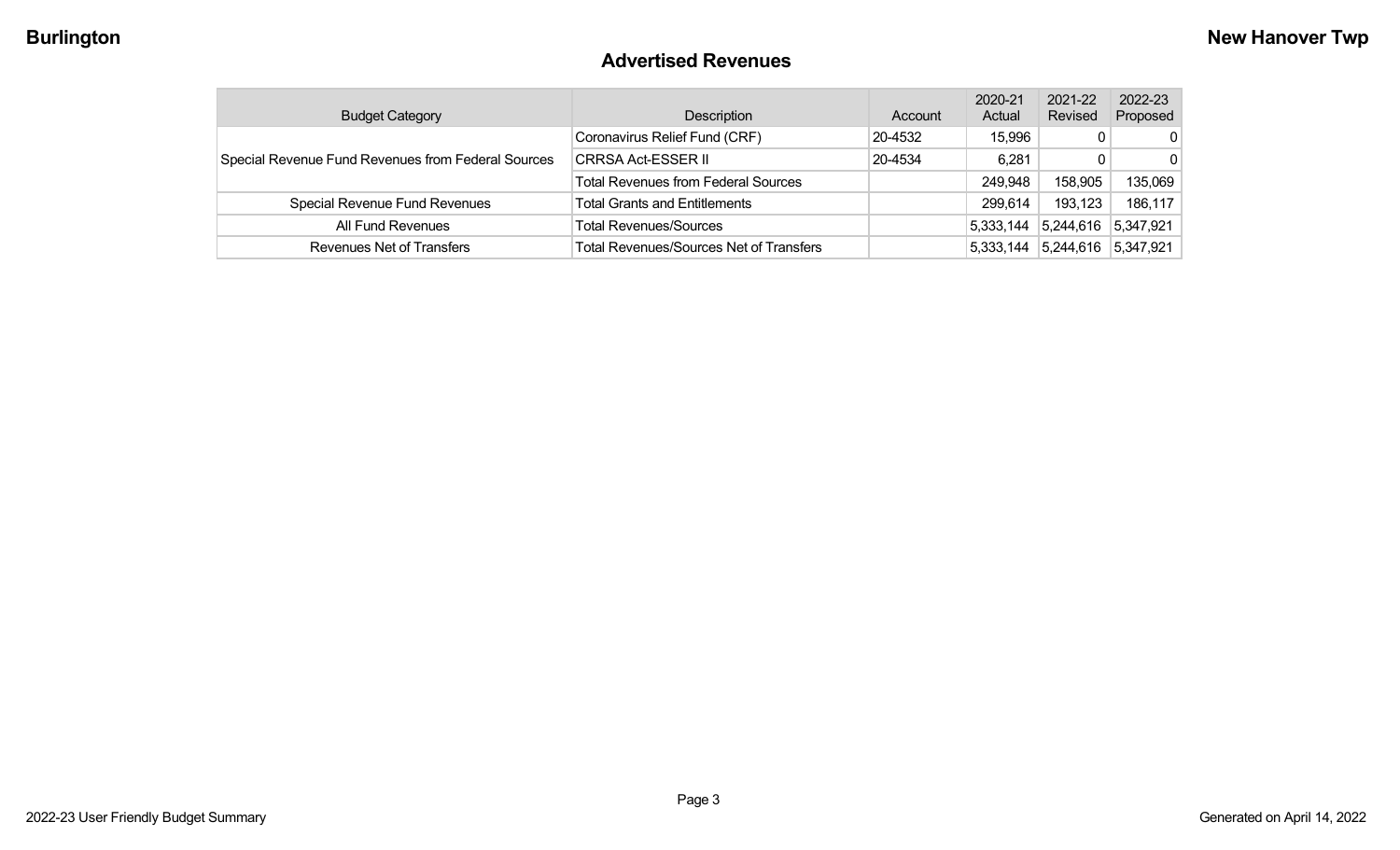### **Advertised Revenues**

| <b>Budget Category</b>                             | Description                                    | Account | 2020-21<br>Actual | 2021-22<br>Revised | 2022-23<br>Proposed |
|----------------------------------------------------|------------------------------------------------|---------|-------------------|--------------------|---------------------|
|                                                    | Coronavirus Relief Fund (CRF)                  | 20-4532 | 15,996            | 0                  | $\Omega$            |
| Special Revenue Fund Revenues from Federal Sources | <b>CRRSA Act-ESSER II</b>                      | 20-4534 | 6,281             | 0                  | $\Omega$            |
|                                                    | <b>Total Revenues from Federal Sources</b>     |         | 249,948           | 158,905            | 135,069             |
| Special Revenue Fund Revenues                      | <b>Total Grants and Entitlements</b>           |         | 299,614           | 193,123            | 186,117             |
| All Fund Revenues                                  | Total Revenues/Sources                         |         | 5,333,144         | 5,244,616          | 5,347,921           |
| Revenues Net of Transfers                          | <b>Total Revenues/Sources Net of Transfers</b> |         | 5,333,144         | 5,244,616          | 5,347,921           |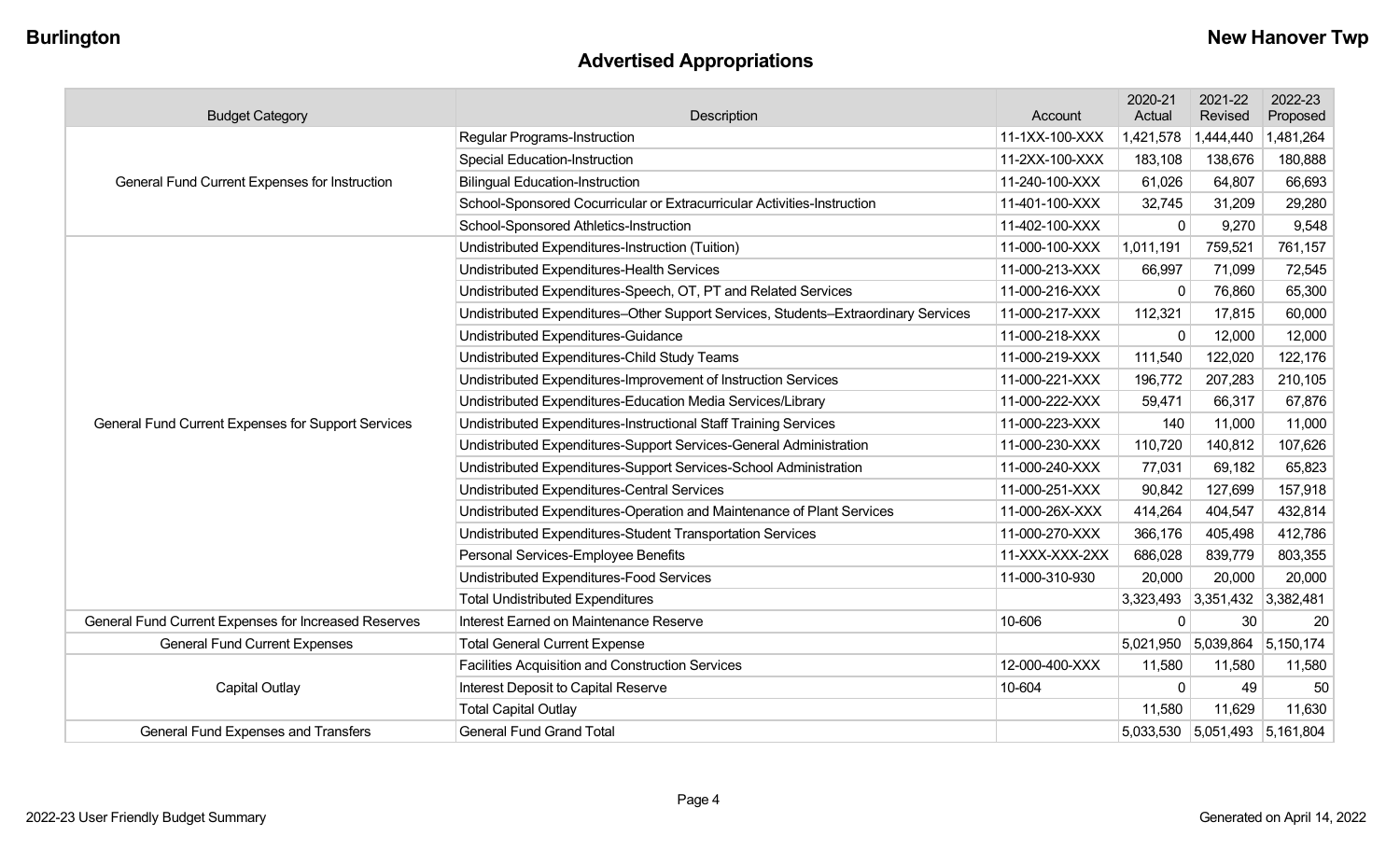## **Advertised Appropriations**

| <b>Budget Category</b>                               | Description                                                                        | Account        | 2020-21<br>Actual | 2021-22<br>Revised            | 2022-23<br>Proposed |
|------------------------------------------------------|------------------------------------------------------------------------------------|----------------|-------------------|-------------------------------|---------------------|
|                                                      | <b>Regular Programs-Instruction</b>                                                | 11-1XX-100-XXX | 1,421,578         | 1,444,440                     | 1,481,264           |
|                                                      | <b>Special Education-Instruction</b>                                               | 11-2XX-100-XXX | 183,108           | 138,676                       | 180,888             |
| General Fund Current Expenses for Instruction        | <b>Bilingual Education-Instruction</b>                                             | 11-240-100-XXX | 61,026            | 64,807                        | 66,693              |
|                                                      | School-Sponsored Cocurricular or Extracurricular Activities-Instruction            | 11-401-100-XXX | 32,745            | 31,209                        | 29,280              |
|                                                      | School-Sponsored Athletics-Instruction                                             | 11-402-100-XXX | $\Omega$          | 9,270                         | 9,548               |
|                                                      | Undistributed Expenditures-Instruction (Tuition)                                   | 11-000-100-XXX | 1,011,191         | 759,521                       | 761,157             |
|                                                      | Undistributed Expenditures-Health Services                                         | 11-000-213-XXX | 66,997            | 71,099                        | 72,545              |
|                                                      | Undistributed Expenditures-Speech, OT, PT and Related Services                     | 11-000-216-XXX | $\Omega$          | 76,860                        | 65,300              |
|                                                      | Undistributed Expenditures-Other Support Services, Students-Extraordinary Services | 11-000-217-XXX | 112,321           | 17,815                        | 60,000              |
|                                                      | Undistributed Expenditures-Guidance                                                | 11-000-218-XXX | $\Omega$          | 12,000                        | 12,000              |
|                                                      | Undistributed Expenditures-Child Study Teams                                       | 11-000-219-XXX | 111,540           | 122,020                       | 122,176             |
|                                                      | Undistributed Expenditures-Improvement of Instruction Services                     | 11-000-221-XXX | 196,772           | 207,283                       | 210,105             |
|                                                      | Undistributed Expenditures-Education Media Services/Library                        | 11-000-222-XXX | 59,471            | 66,317                        | 67,876              |
| General Fund Current Expenses for Support Services   | Undistributed Expenditures-Instructional Staff Training Services                   | 11-000-223-XXX | 140               | 11,000                        | 11,000              |
|                                                      | Undistributed Expenditures-Support Services-General Administration                 | 11-000-230-XXX | 110,720           | 140,812                       | 107,626             |
|                                                      | Undistributed Expenditures-Support Services-School Administration                  | 11-000-240-XXX | 77,031            | 69,182                        | 65,823              |
|                                                      | Undistributed Expenditures-Central Services                                        | 11-000-251-XXX | 90,842            | 127,699                       | 157,918             |
|                                                      | Undistributed Expenditures-Operation and Maintenance of Plant Services             | 11-000-26X-XXX | 414,264           | 404,547                       | 432,814             |
|                                                      | Undistributed Expenditures-Student Transportation Services                         | 11-000-270-XXX | 366,176           | 405,498                       | 412,786             |
|                                                      | Personal Services-Employee Benefits                                                | 11-XXX-XXX-2XX | 686,028           | 839,779                       | 803,355             |
|                                                      | Undistributed Expenditures-Food Services                                           | 11-000-310-930 | 20,000            | 20,000                        | 20,000              |
|                                                      | <b>Total Undistributed Expenditures</b>                                            |                | 3,323,493         | 3,351,432 3,382,481           |                     |
| General Fund Current Expenses for Increased Reserves | Interest Earned on Maintenance Reserve                                             | 10-606         | 0                 | 30                            | 20                  |
| <b>General Fund Current Expenses</b>                 | <b>Total General Current Expense</b>                                               |                |                   | 5,021,950 5,039,864           | 5,150,174           |
|                                                      | Facilities Acquisition and Construction Services                                   | 12-000-400-XXX | 11,580            | 11,580                        | 11,580              |
| <b>Capital Outlay</b>                                | Interest Deposit to Capital Reserve                                                | 10-604         | $\Omega$          | 49                            | 50                  |
|                                                      | <b>Total Capital Outlay</b>                                                        |                | 11,580            | 11,629                        | 11,630              |
| General Fund Expenses and Transfers                  | <b>General Fund Grand Total</b>                                                    |                |                   | 5,033,530 5,051,493 5,161,804 |                     |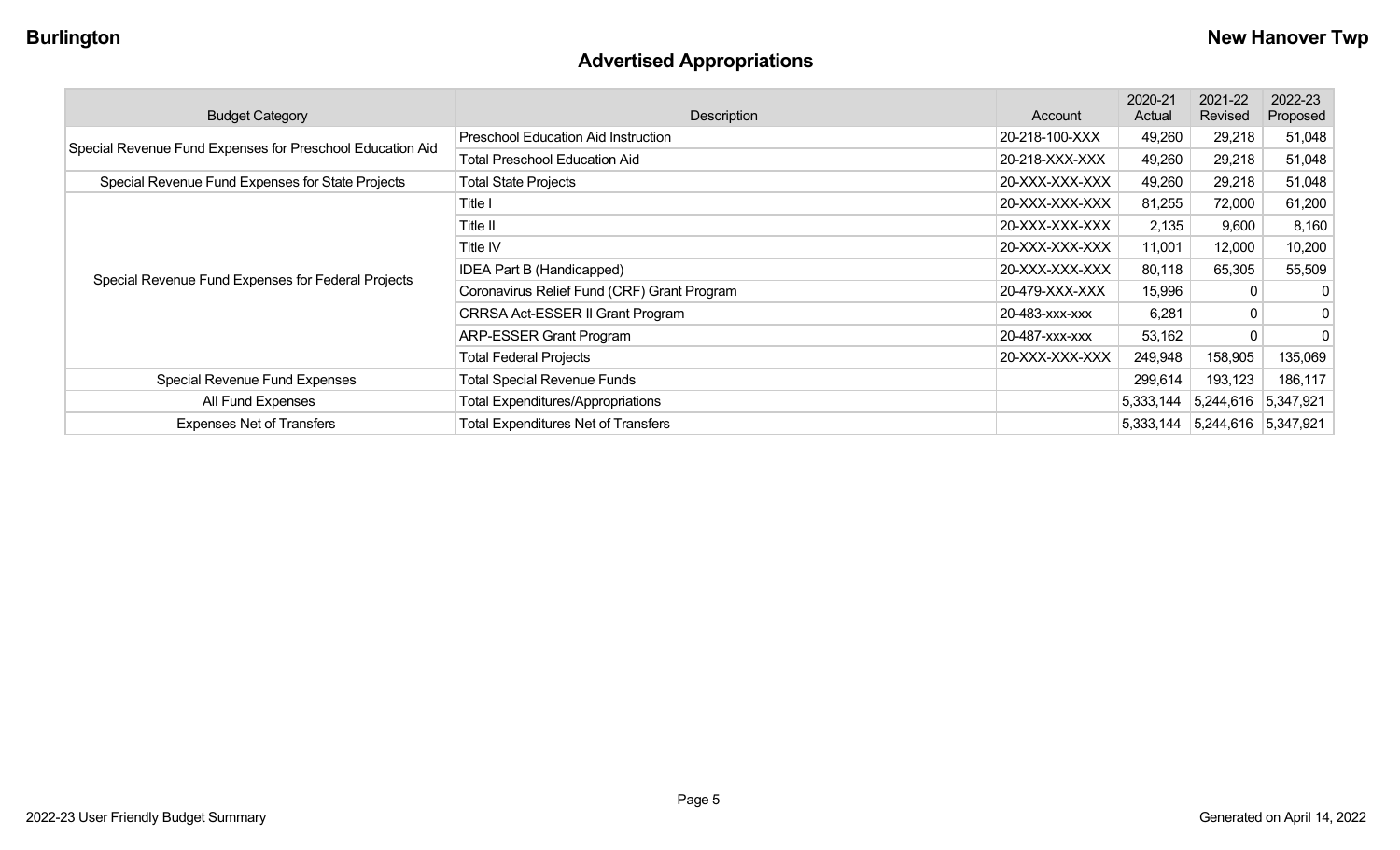# **Advertised Appropriations**

| <b>Budget Category</b>                                    | Description                                 | Account        | 2020-21<br>Actual | 2021-22<br>Revised          | 2022-23<br>Proposed |
|-----------------------------------------------------------|---------------------------------------------|----------------|-------------------|-----------------------------|---------------------|
| Special Revenue Fund Expenses for Preschool Education Aid | <b>Preschool Education Aid Instruction</b>  | 20-218-100-XXX | 49,260            | 29,218                      | 51,048              |
|                                                           | <b>Total Preschool Education Aid</b>        | 20-218-XXX-XXX | 49,260            | 29,218                      | 51,048              |
| Special Revenue Fund Expenses for State Projects          | <b>Total State Projects</b>                 | 20-XXX-XXX-XXX | 49,260            | 29,218                      | 51,048              |
|                                                           | Title I                                     | 20-XXX-XXX-XXX | 81,255            | 72,000                      | 61,200              |
|                                                           | Title II                                    | 20-XXX-XXX-XXX | 2,135             | 9,600                       | 8,160               |
|                                                           | Title IV                                    | 20-XXX-XXX-XXX | 11,001            | 12,000                      | 10,200              |
|                                                           | IDEA Part B (Handicapped)                   | 20-XXX-XXX-XXX | 80,118            | 65,305                      | 55,509              |
| Special Revenue Fund Expenses for Federal Projects        | Coronavirus Relief Fund (CRF) Grant Program | 20-479-XXX-XXX | 15,996            | 0                           | $\mathbf{0}$        |
|                                                           | CRRSA Act-ESSER II Grant Program            | 20-483-XXX-XXX | 6,281             | 0                           | $\boldsymbol{0}$    |
|                                                           | <b>ARP-ESSER Grant Program</b>              | 20-487-XXX-XXX | 53,162            | 0                           | $\overline{0}$      |
|                                                           | <b>Total Federal Projects</b>               | 20-XXX-XXX-XXX | 249,948           | 158,905                     | 135,069             |
| Special Revenue Fund Expenses                             | <b>Total Special Revenue Funds</b>          |                | 299,614           | 193,123                     | 186,117             |
| All Fund Expenses                                         | <b>Total Expenditures/Appropriations</b>    |                | 5,333,144         | 5,244,616 5,347,921         |                     |
| <b>Expenses Net of Transfers</b>                          | <b>Total Expenditures Net of Transfers</b>  |                | 5,333,144         | $ 5,244,616 \t   5,347,921$ |                     |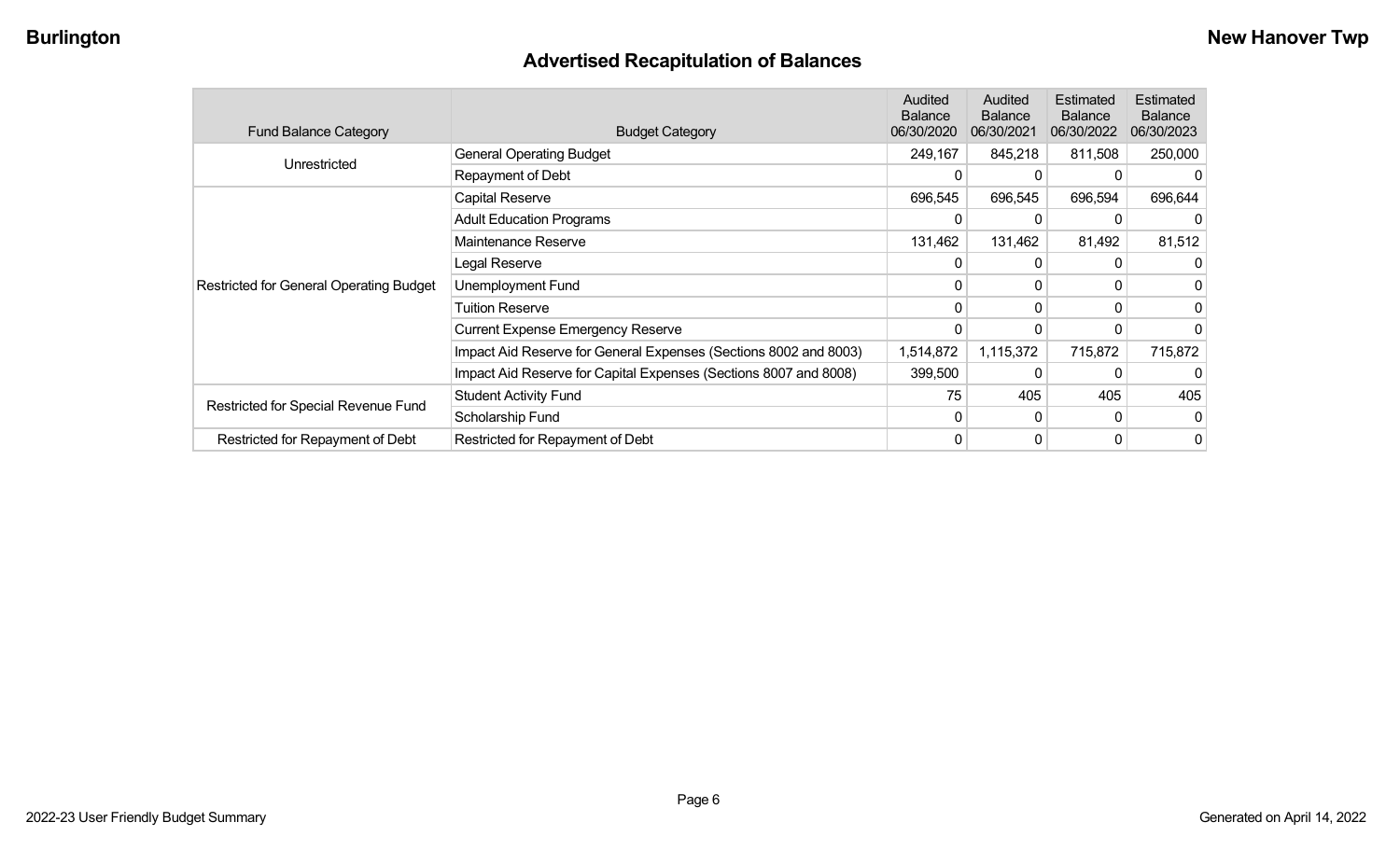## **Advertised Recapitulation of Balances**

| <b>Fund Balance Category</b>                   | <b>Budget Category</b>                                           | Audited<br><b>Balance</b><br>06/30/2020 | Audited<br><b>Balance</b><br>06/30/2021 | Estimated<br><b>Balance</b><br>06/30/2022 | <b>Estimated</b><br><b>Balance</b><br>06/30/2023 |
|------------------------------------------------|------------------------------------------------------------------|-----------------------------------------|-----------------------------------------|-------------------------------------------|--------------------------------------------------|
|                                                | <b>General Operating Budget</b>                                  | 249,167                                 | 845,218                                 | 811,508                                   | 250,000                                          |
| Unrestricted                                   | Repayment of Debt                                                | 0                                       | 0                                       |                                           |                                                  |
|                                                | Capital Reserve                                                  | 696,545                                 | 696,545                                 | 696,594                                   | 696,644                                          |
|                                                | <b>Adult Education Programs</b>                                  | 0                                       | 0                                       |                                           |                                                  |
|                                                | Maintenance Reserve                                              | 131,462                                 | 131,462                                 | 81,492                                    | 81,512                                           |
|                                                | Legal Reserve                                                    | 0                                       | $\Omega$                                | 0                                         |                                                  |
| <b>Restricted for General Operating Budget</b> | Unemployment Fund                                                | $\Omega$                                | 0                                       | 0                                         |                                                  |
|                                                | <b>Tuition Reserve</b>                                           | 0                                       | 0                                       | 0                                         |                                                  |
|                                                | <b>Current Expense Emergency Reserve</b>                         | $\Omega$                                | 0                                       | 0                                         |                                                  |
|                                                | Impact Aid Reserve for General Expenses (Sections 8002 and 8003) | 1,514,872                               | 1,115,372                               | 715,872                                   | 715,872                                          |
|                                                | Impact Aid Reserve for Capital Expenses (Sections 8007 and 8008) | 399,500                                 | 0                                       |                                           |                                                  |
| Restricted for Special Revenue Fund            | <b>Student Activity Fund</b>                                     | 75                                      | 405                                     | 405                                       | 405                                              |
|                                                | Scholarship Fund                                                 | $\Omega$                                | $\mathbf{0}$                            | $\Omega$                                  | 0                                                |
| Restricted for Repayment of Debt               | Restricted for Repayment of Debt                                 | 0                                       | 0                                       | 0                                         | 0                                                |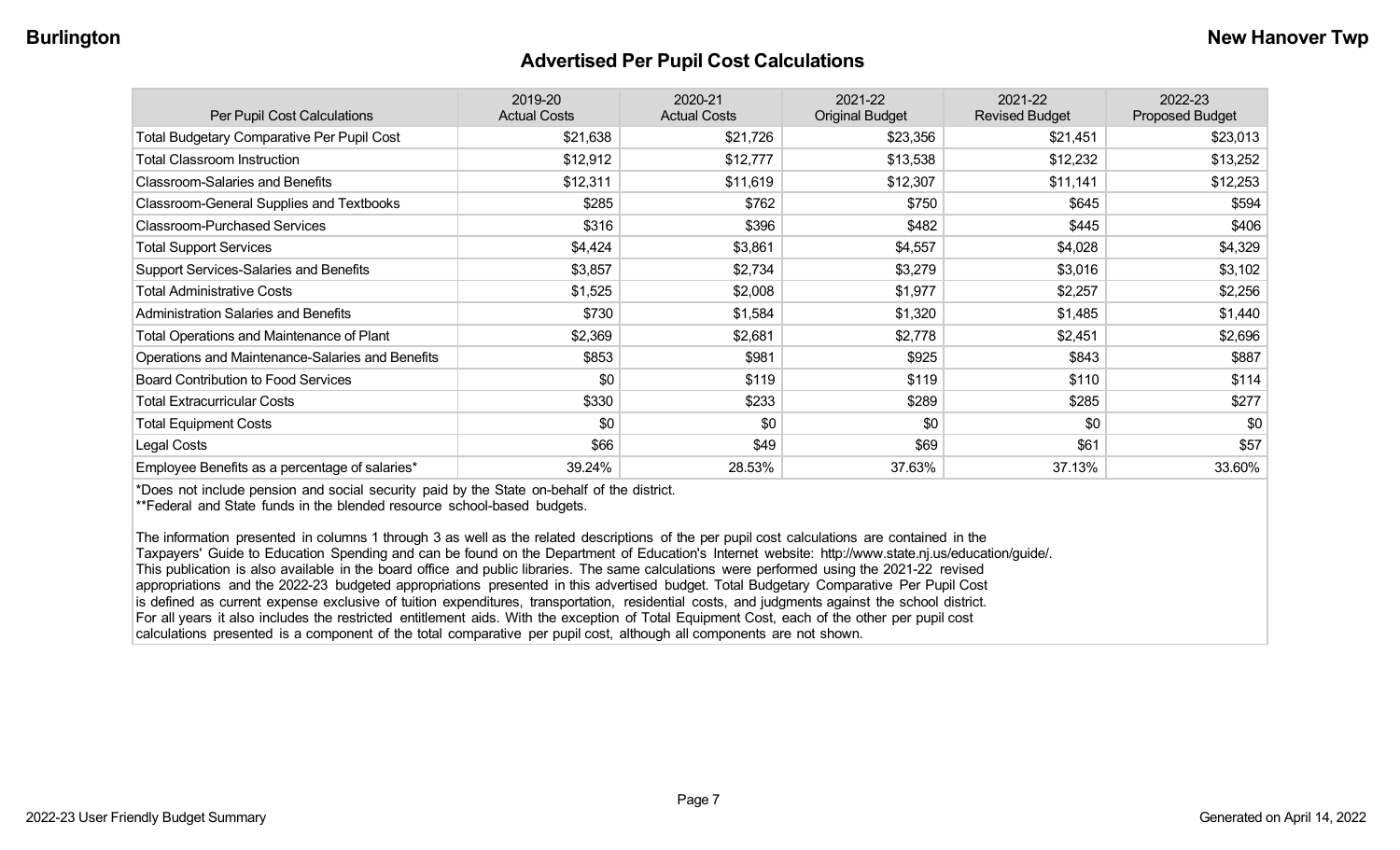#### **Advertised Per Pupil Cost Calculations**

| Per Pupil Cost Calculations                       | 2019-20<br><b>Actual Costs</b> | 2020-21<br><b>Actual Costs</b> | 2021-22<br><b>Original Budget</b> | 2021-22<br><b>Revised Budget</b> | 2022-23<br>Proposed Budget |
|---------------------------------------------------|--------------------------------|--------------------------------|-----------------------------------|----------------------------------|----------------------------|
| <b>Total Budgetary Comparative Per Pupil Cost</b> | \$21,638                       | \$21,726                       | \$23,356                          | \$21,451                         | \$23,013                   |
| <b>Total Classroom Instruction</b>                | \$12,912                       | \$12,777                       | \$13,538                          | \$12,232                         | \$13,252                   |
| <b>Classroom-Salaries and Benefits</b>            | \$12,311                       | \$11,619                       | \$12,307                          | \$11,141                         | \$12,253                   |
| Classroom-General Supplies and Textbooks          | \$285                          | \$762                          | \$750                             | \$645                            | \$594                      |
| <b>Classroom-Purchased Services</b>               | \$316                          | \$396                          | \$482                             | \$445                            | \$406                      |
| <b>Total Support Services</b>                     | \$4,424                        | \$3,861                        | \$4,557                           | \$4,028                          | \$4,329                    |
| Support Services-Salaries and Benefits            | \$3,857                        | \$2,734                        | \$3,279                           | \$3,016                          | \$3,102                    |
| <b>Total Administrative Costs</b>                 | \$1,525                        | \$2,008                        | \$1,977                           | \$2,257                          | \$2,256                    |
| <b>Administration Salaries and Benefits</b>       | \$730                          | \$1,584                        | \$1,320                           | \$1,485                          | \$1,440                    |
| Total Operations and Maintenance of Plant         | \$2,369                        | \$2,681                        | \$2,778                           | \$2,451                          | \$2,696                    |
| Operations and Maintenance-Salaries and Benefits  | \$853                          | \$981                          | \$925                             | \$843                            | \$887                      |
| <b>Board Contribution to Food Services</b>        | \$0                            | \$119                          | \$119                             | \$110                            | \$114                      |
| <b>Total Extracurricular Costs</b>                | \$330                          | \$233                          | \$289                             | \$285                            | \$277                      |
| <b>Total Equipment Costs</b>                      | \$0                            | \$0                            | \$0                               | \$0                              | \$0                        |
| Legal Costs                                       | \$66                           | \$49                           | \$69                              | \$61                             | \$57                       |
| Employee Benefits as a percentage of salaries*    | 39.24%                         | 28.53%                         | 37.63%                            | 37.13%                           | 33.60%                     |

\*Does not include pension and social security paid by the State on-behalf of the district.

\*\*Federal and State funds in the blended resource school-based budgets.

The information presented in columns 1 through 3 as well as the related descriptions of the per pupil cost calculations are contained in the Taxpayers' Guide to Education Spending and can be found on the Department of Education's Internet website: http://www.state.nj.us/education/guide/. This publication is also available in the board office and public libraries. The same calculations were performed using the 2021-22 revised appropriations and the 2022-23 budgeted appropriations presented in this advertised budget. Total Budgetary Comparative Per Pupil Cost is defined as current expense exclusive of tuition expenditures, transportation, residential costs, and judgments against the school district. For all years it also includes the restricted entitlement aids. With the exception of Total Equipment Cost, each of the other per pupil cost calculations presented is a component of the total comparative per pupil cost, although all components are not shown.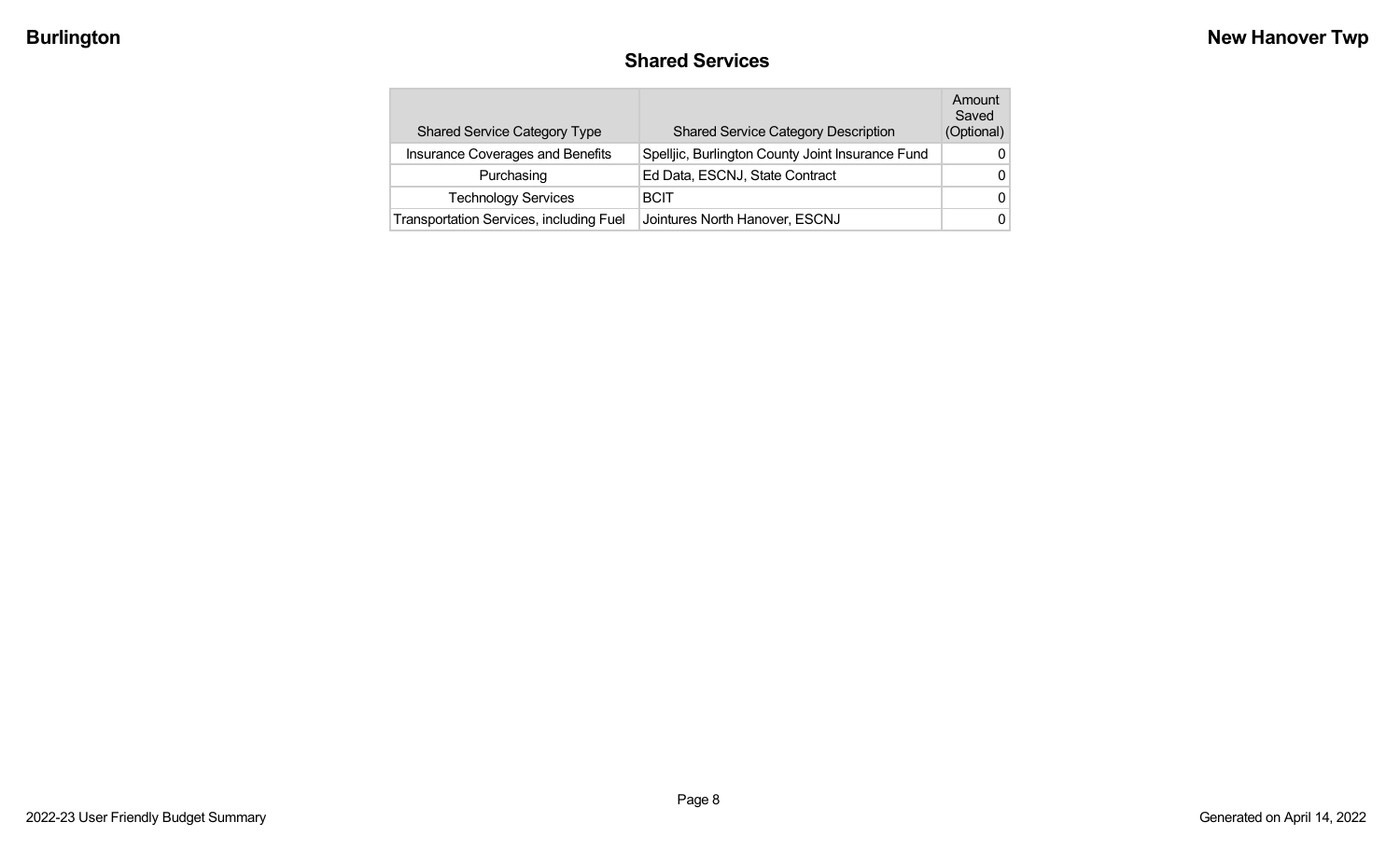### **Shared Services**

| <b>Shared Service Category Type</b>            | <b>Shared Service Category Description</b>       | Amount<br>Saved<br>(Optional) |
|------------------------------------------------|--------------------------------------------------|-------------------------------|
| Insurance Coverages and Benefits               | Spelljic, Burlington County Joint Insurance Fund | 0                             |
| Purchasing                                     | Ed Data, ESCNJ, State Contract                   | 0                             |
| <b>Technology Services</b>                     | <b>BCIT</b>                                      | 0                             |
| <b>Transportation Services, including Fuel</b> | Jointures North Hanover, ESCNJ                   | 0                             |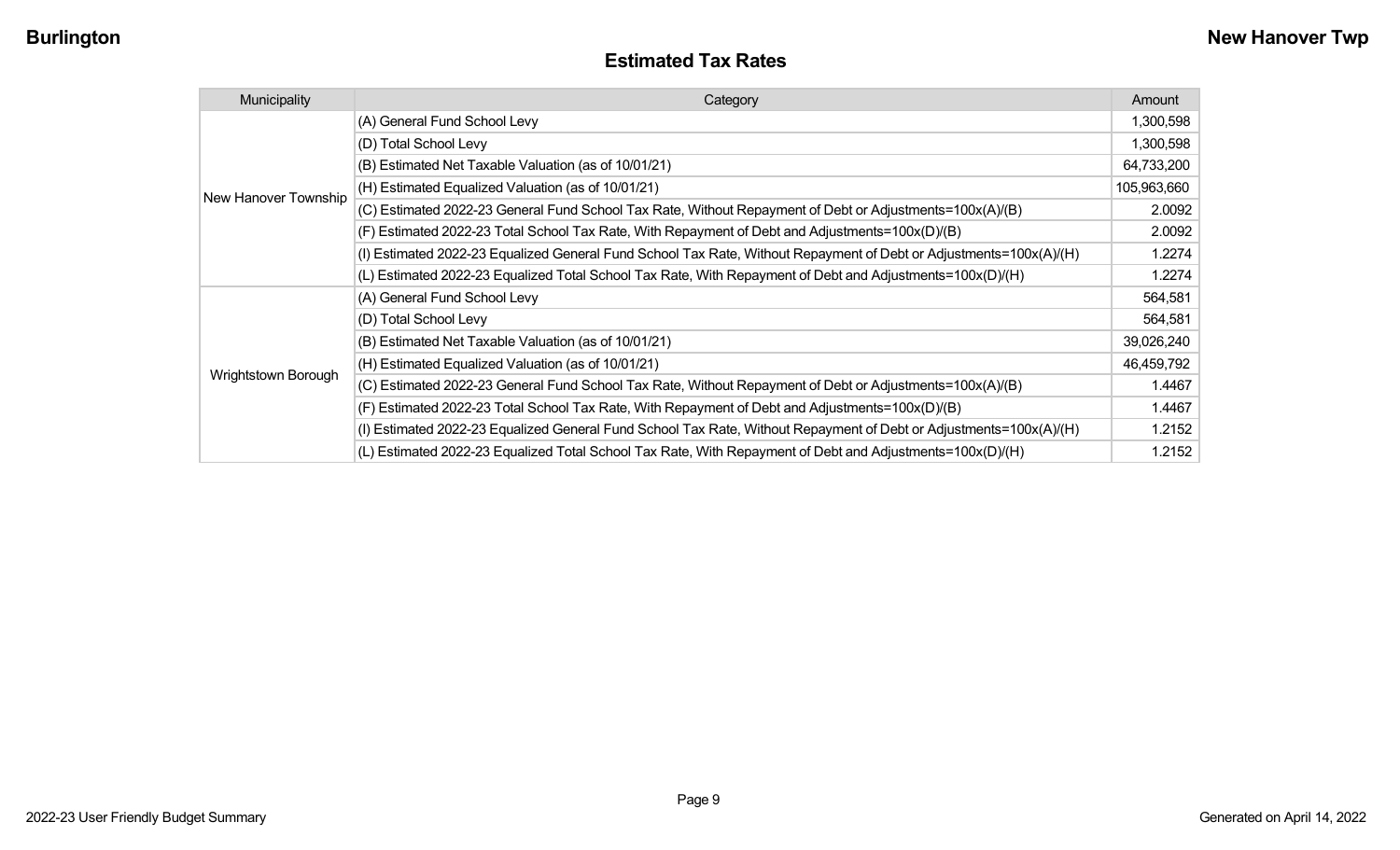| Municipality         | Category                                                                                                           | Amount      |
|----------------------|--------------------------------------------------------------------------------------------------------------------|-------------|
|                      | (A) General Fund School Levy                                                                                       | 1,300,598   |
|                      | (D) Total School Levy                                                                                              | 1,300,598   |
|                      | (B) Estimated Net Taxable Valuation (as of 10/01/21)                                                               | 64,733,200  |
| New Hanover Township | (H) Estimated Equalized Valuation (as of 10/01/21)                                                                 | 105,963,660 |
|                      | (C) Estimated 2022-23 General Fund School Tax Rate, Without Repayment of Debt or Adjustments=100x(A)/(B)           | 2.0092      |
|                      | (F) Estimated 2022-23 Total School Tax Rate, With Repayment of Debt and Adjustments=100x(D)/(B)                    | 2.0092      |
|                      | (I) Estimated 2022-23 Equalized General Fund School Tax Rate, Without Repayment of Debt or Adjustments=100x(A)/(H) | 1.2274      |
|                      | (L) Estimated 2022-23 Equalized Total School Tax Rate, With Repayment of Debt and Adjustments=100x(D)/(H)          | 1.2274      |
|                      | (A) General Fund School Levy                                                                                       | 564,581     |
|                      | (D) Total School Levy                                                                                              | 564,581     |
|                      | (B) Estimated Net Taxable Valuation (as of 10/01/21)                                                               | 39,026,240  |
|                      | (H) Estimated Equalized Valuation (as of 10/01/21)                                                                 | 46,459,792  |
| Wrightstown Borough  | (C) Estimated 2022-23 General Fund School Tax Rate, Without Repayment of Debt or Adjustments=100x(A)/(B)           | 1.4467      |
|                      | (F) Estimated 2022-23 Total School Tax Rate, With Repayment of Debt and Adjustments=100x(D)/(B)                    | 1.4467      |
|                      | (I) Estimated 2022-23 Equalized General Fund School Tax Rate, Without Repayment of Debt or Adjustments=100x(A)/(H) | 1.2152      |
|                      | (L) Estimated 2022-23 Equalized Total School Tax Rate, With Repayment of Debt and Adjustments=100x(D)/(H)          | 1.2152      |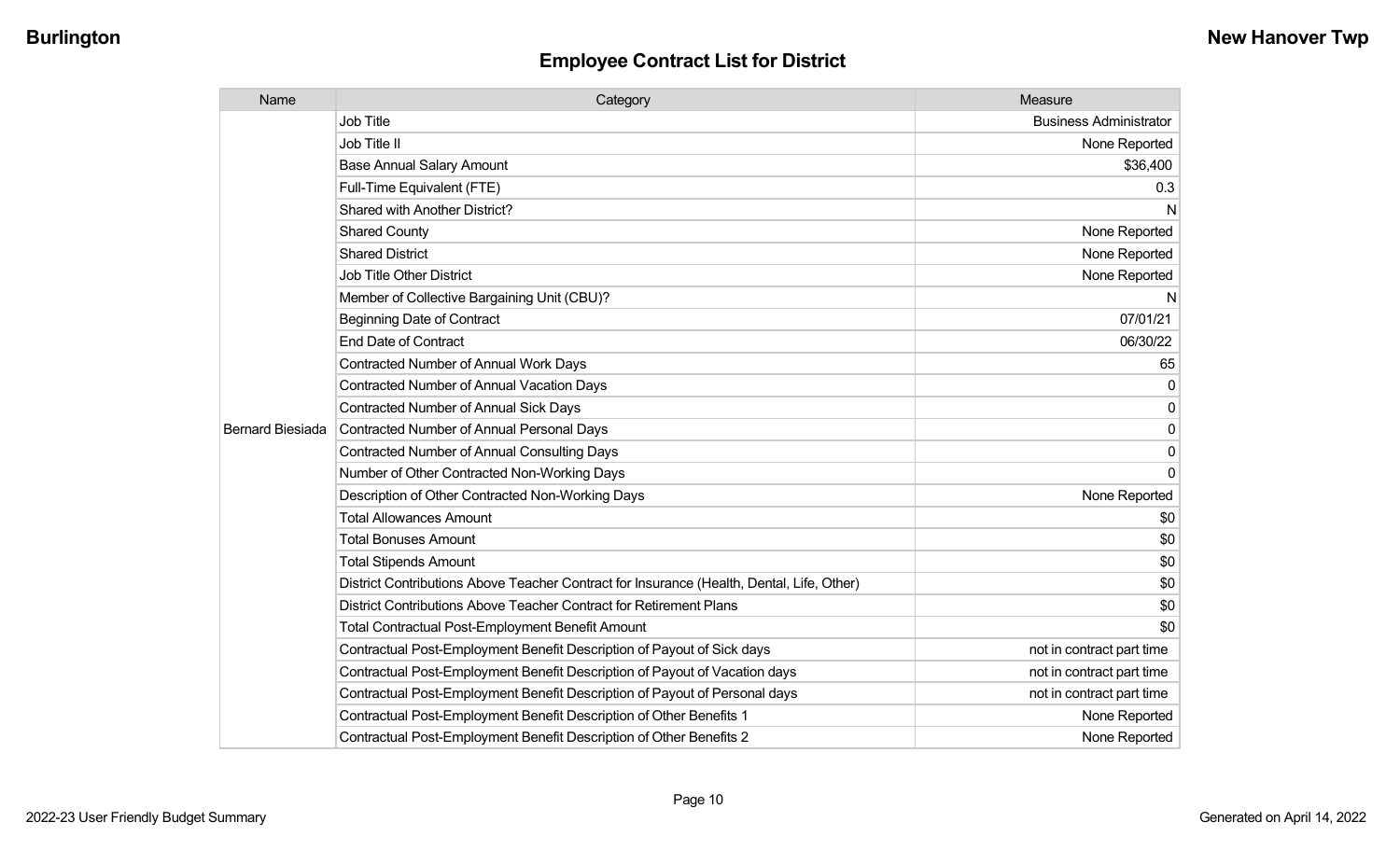| Name                    | Category                                                                                  | Measure                       |
|-------------------------|-------------------------------------------------------------------------------------------|-------------------------------|
|                         | <b>Job Title</b>                                                                          | <b>Business Administrator</b> |
|                         | Job Title II                                                                              | None Reported                 |
|                         | <b>Base Annual Salary Amount</b>                                                          | \$36,400                      |
|                         | Full-Time Equivalent (FTE)                                                                | 0.3                           |
|                         | Shared with Another District?                                                             | N                             |
|                         | <b>Shared County</b>                                                                      | None Reported                 |
|                         | <b>Shared District</b>                                                                    | None Reported                 |
|                         | <b>Job Title Other District</b>                                                           | None Reported                 |
|                         | Member of Collective Bargaining Unit (CBU)?                                               | N                             |
|                         | <b>Beginning Date of Contract</b>                                                         | 07/01/21                      |
|                         | <b>End Date of Contract</b>                                                               | 06/30/22                      |
|                         | <b>Contracted Number of Annual Work Days</b>                                              | 65                            |
|                         | <b>Contracted Number of Annual Vacation Days</b>                                          | 0                             |
|                         | <b>Contracted Number of Annual Sick Days</b>                                              | 0                             |
| <b>Bernard Biesiada</b> | Contracted Number of Annual Personal Days                                                 | 0                             |
|                         | <b>Contracted Number of Annual Consulting Days</b>                                        | 0                             |
|                         | Number of Other Contracted Non-Working Days                                               | $\mathbf 0$                   |
|                         | Description of Other Contracted Non-Working Days                                          | None Reported                 |
|                         | <b>Total Allowances Amount</b>                                                            | \$0                           |
|                         | <b>Total Bonuses Amount</b>                                                               | \$0                           |
|                         | <b>Total Stipends Amount</b>                                                              | \$0                           |
|                         | District Contributions Above Teacher Contract for Insurance (Health, Dental, Life, Other) | \$0                           |
|                         | District Contributions Above Teacher Contract for Retirement Plans                        | \$0                           |
|                         | <b>Total Contractual Post-Employment Benefit Amount</b>                                   | \$0                           |
|                         | Contractual Post-Employment Benefit Description of Payout of Sick days                    | not in contract part time     |
|                         | Contractual Post-Employment Benefit Description of Payout of Vacation days                | not in contract part time     |
|                         | Contractual Post-Employment Benefit Description of Payout of Personal days                | not in contract part time     |
|                         | Contractual Post-Employment Benefit Description of Other Benefits 1                       | None Reported                 |
|                         | Contractual Post-Employment Benefit Description of Other Benefits 2                       | None Reported                 |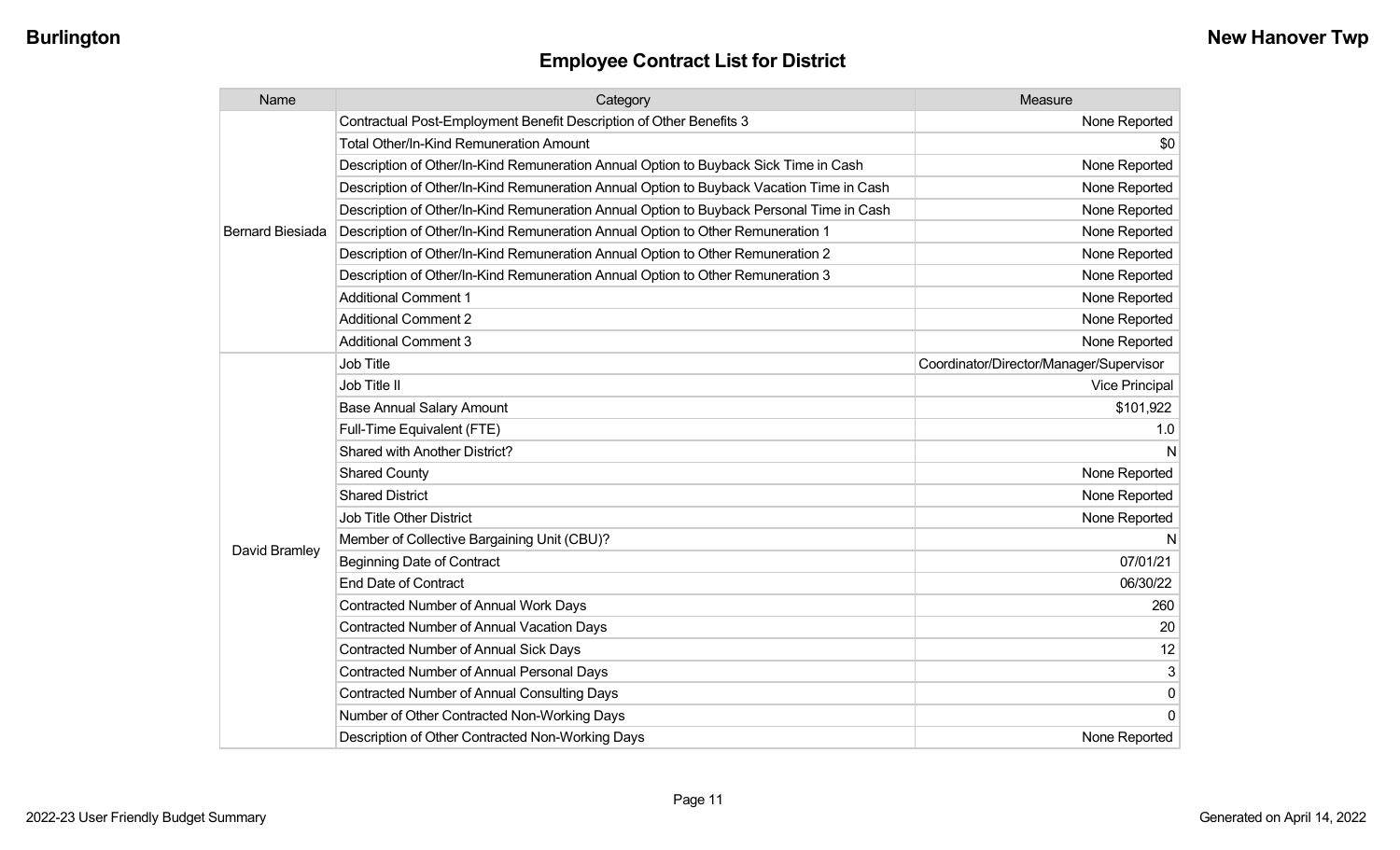| Name                    | Category                                                                                 | Measure                                 |
|-------------------------|------------------------------------------------------------------------------------------|-----------------------------------------|
|                         | Contractual Post-Employment Benefit Description of Other Benefits 3                      | None Reported                           |
|                         | Total Other/In-Kind Remuneration Amount                                                  | \$0                                     |
|                         | Description of Other/In-Kind Remuneration Annual Option to Buyback Sick Time in Cash     | None Reported                           |
|                         | Description of Other/In-Kind Remuneration Annual Option to Buyback Vacation Time in Cash | None Reported                           |
|                         | Description of Other/In-Kind Remuneration Annual Option to Buyback Personal Time in Cash | None Reported                           |
| <b>Bernard Biesiada</b> | Description of Other/In-Kind Remuneration Annual Option to Other Remuneration 1          | None Reported                           |
|                         | Description of Other/In-Kind Remuneration Annual Option to Other Remuneration 2          | None Reported                           |
|                         | Description of Other/In-Kind Remuneration Annual Option to Other Remuneration 3          | None Reported                           |
|                         | <b>Additional Comment 1</b>                                                              | None Reported                           |
|                         | <b>Additional Comment 2</b>                                                              | None Reported                           |
|                         | <b>Additional Comment 3</b>                                                              | None Reported                           |
|                         | <b>Job Title</b>                                                                         | Coordinator/Director/Manager/Supervisor |
|                         | Job Title II                                                                             | <b>Vice Principal</b>                   |
|                         | <b>Base Annual Salary Amount</b>                                                         | \$101,922                               |
|                         | Full-Time Equivalent (FTE)                                                               | 1.0                                     |
|                         | Shared with Another District?                                                            | N                                       |
|                         | <b>Shared County</b>                                                                     | None Reported                           |
|                         | <b>Shared District</b>                                                                   | None Reported                           |
|                         | <b>Job Title Other District</b>                                                          | None Reported                           |
|                         | Member of Collective Bargaining Unit (CBU)?                                              | N                                       |
| David Bramley           | <b>Beginning Date of Contract</b>                                                        | 07/01/21                                |
|                         | <b>End Date of Contract</b>                                                              | 06/30/22                                |
|                         | Contracted Number of Annual Work Days                                                    | 260                                     |
|                         | <b>Contracted Number of Annual Vacation Days</b>                                         | 20                                      |
|                         | Contracted Number of Annual Sick Days                                                    | 12                                      |
|                         | <b>Contracted Number of Annual Personal Days</b>                                         | 3                                       |
|                         | <b>Contracted Number of Annual Consulting Days</b>                                       | $\pmb{0}$                               |
|                         | Number of Other Contracted Non-Working Days                                              | $\overline{0}$                          |
|                         | Description of Other Contracted Non-Working Days                                         | None Reported                           |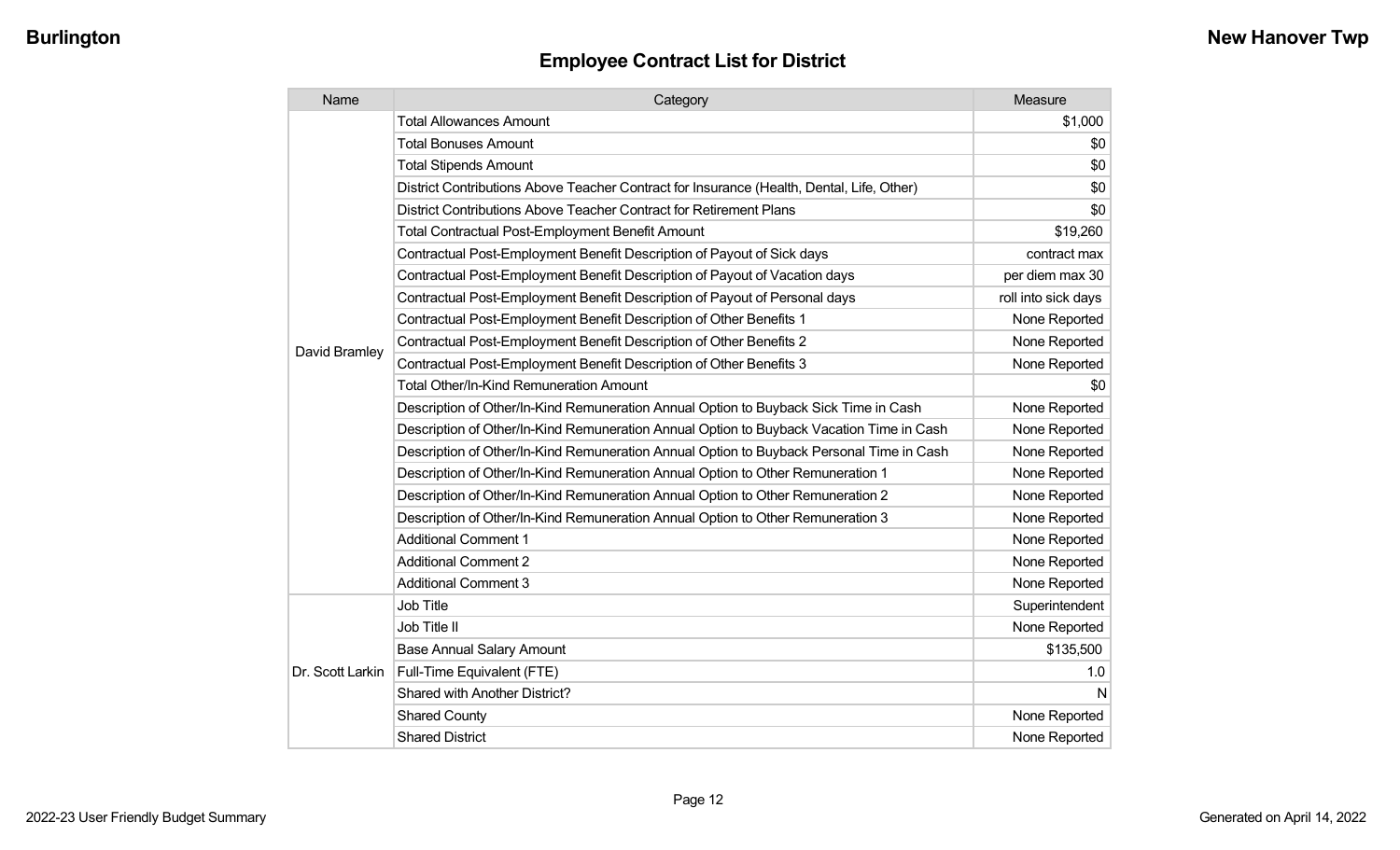| <b>Employee Contract List for District</b> |  |  |  |
|--------------------------------------------|--|--|--|
|--------------------------------------------|--|--|--|

| Name             | Category                                                                                  | Measure             |
|------------------|-------------------------------------------------------------------------------------------|---------------------|
|                  | <b>Total Allowances Amount</b>                                                            | \$1,000             |
|                  | <b>Total Bonuses Amount</b>                                                               | \$0                 |
|                  | <b>Total Stipends Amount</b>                                                              | \$0                 |
|                  | District Contributions Above Teacher Contract for Insurance (Health, Dental, Life, Other) | \$0                 |
|                  | District Contributions Above Teacher Contract for Retirement Plans                        | \$0                 |
|                  | <b>Total Contractual Post-Employment Benefit Amount</b>                                   | \$19,260            |
|                  | Contractual Post-Employment Benefit Description of Payout of Sick days                    | contract max        |
|                  | Contractual Post-Employment Benefit Description of Payout of Vacation days                | per diem max 30     |
|                  | Contractual Post-Employment Benefit Description of Payout of Personal days                | roll into sick days |
|                  | Contractual Post-Employment Benefit Description of Other Benefits 1                       | None Reported       |
| David Bramley    | Contractual Post-Employment Benefit Description of Other Benefits 2                       | None Reported       |
|                  | Contractual Post-Employment Benefit Description of Other Benefits 3                       | None Reported       |
|                  | <b>Total Other/In-Kind Remuneration Amount</b>                                            | \$0                 |
|                  | Description of Other/In-Kind Remuneration Annual Option to Buyback Sick Time in Cash      | None Reported       |
|                  | Description of Other/In-Kind Remuneration Annual Option to Buyback Vacation Time in Cash  | None Reported       |
|                  | Description of Other/In-Kind Remuneration Annual Option to Buyback Personal Time in Cash  | None Reported       |
|                  | Description of Other/In-Kind Remuneration Annual Option to Other Remuneration 1           | None Reported       |
|                  | Description of Other/In-Kind Remuneration Annual Option to Other Remuneration 2           | None Reported       |
|                  | Description of Other/In-Kind Remuneration Annual Option to Other Remuneration 3           | None Reported       |
|                  | <b>Additional Comment 1</b>                                                               | None Reported       |
|                  | <b>Additional Comment 2</b>                                                               | None Reported       |
|                  | <b>Additional Comment 3</b>                                                               | None Reported       |
| Dr. Scott Larkin | Job Title                                                                                 | Superintendent      |
|                  | Job Title II                                                                              | None Reported       |
|                  | <b>Base Annual Salary Amount</b>                                                          | \$135,500           |
|                  | Full-Time Equivalent (FTE)                                                                | 1.0                 |
|                  | Shared with Another District?                                                             | N                   |
|                  | <b>Shared County</b>                                                                      | None Reported       |
|                  | <b>Shared District</b>                                                                    | None Reported       |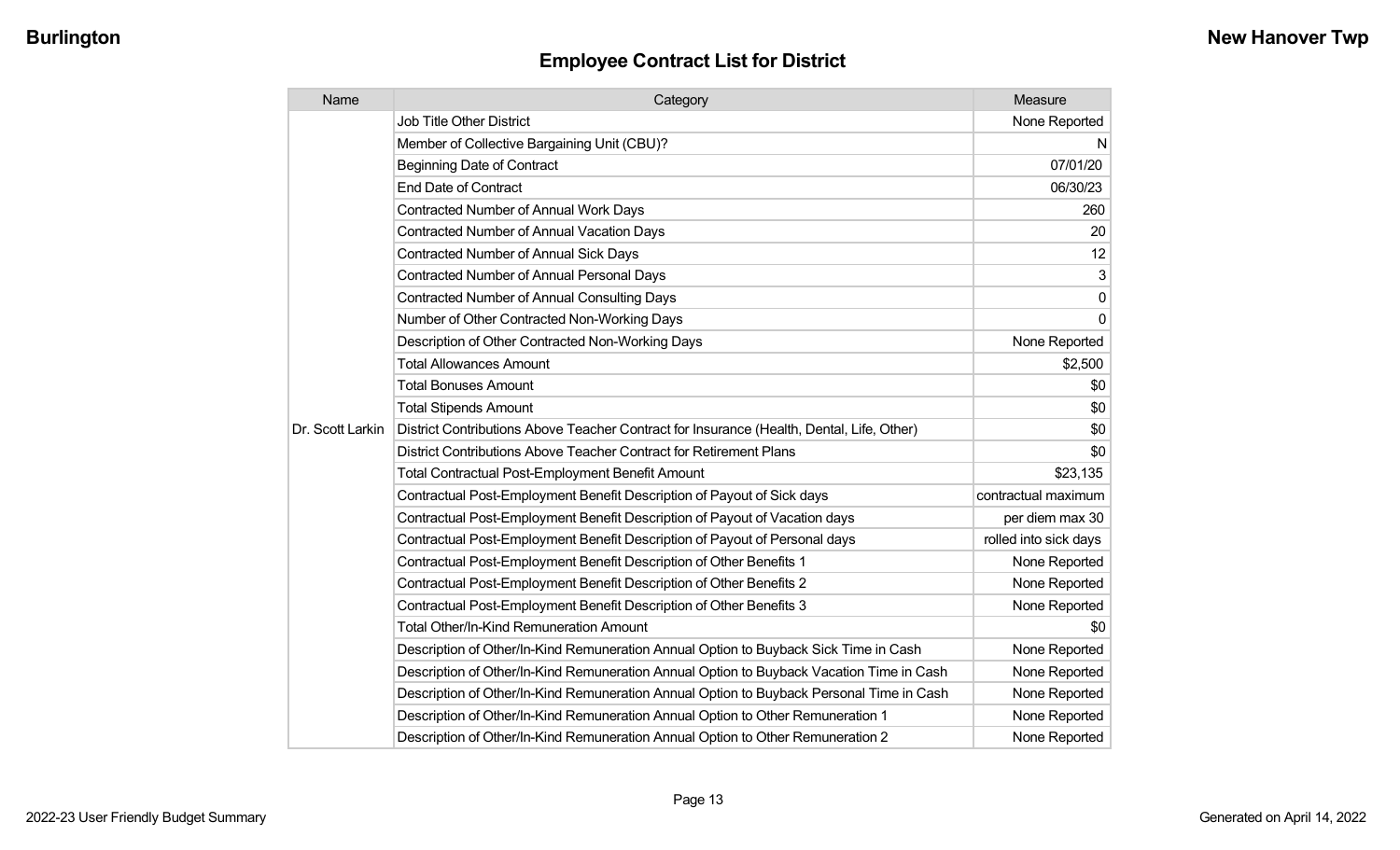| Name             | Category                                                                                  | Measure               |
|------------------|-------------------------------------------------------------------------------------------|-----------------------|
|                  | Job Title Other District                                                                  | None Reported         |
|                  | Member of Collective Bargaining Unit (CBU)?                                               | N                     |
|                  | <b>Beginning Date of Contract</b>                                                         | 07/01/20              |
|                  | <b>End Date of Contract</b>                                                               | 06/30/23              |
|                  | <b>Contracted Number of Annual Work Days</b>                                              | 260                   |
|                  | <b>Contracted Number of Annual Vacation Days</b>                                          | 20                    |
|                  | Contracted Number of Annual Sick Days                                                     | 12                    |
|                  | <b>Contracted Number of Annual Personal Days</b>                                          | 3                     |
|                  | <b>Contracted Number of Annual Consulting Days</b>                                        | $\mathbf 0$           |
|                  | Number of Other Contracted Non-Working Days                                               | $\mathbf{0}$          |
|                  | Description of Other Contracted Non-Working Days                                          | None Reported         |
|                  | <b>Total Allowances Amount</b>                                                            | \$2,500               |
|                  | <b>Total Bonuses Amount</b>                                                               | \$0                   |
|                  | <b>Total Stipends Amount</b>                                                              | \$0                   |
| Dr. Scott Larkin | District Contributions Above Teacher Contract for Insurance (Health, Dental, Life, Other) | \$0                   |
|                  | District Contributions Above Teacher Contract for Retirement Plans                        | \$0                   |
|                  | Total Contractual Post-Employment Benefit Amount                                          | \$23,135              |
|                  | Contractual Post-Employment Benefit Description of Payout of Sick days                    | contractual maximum   |
|                  | Contractual Post-Employment Benefit Description of Payout of Vacation days                | per diem max 30       |
|                  | Contractual Post-Employment Benefit Description of Payout of Personal days                | rolled into sick days |
|                  | Contractual Post-Employment Benefit Description of Other Benefits 1                       | None Reported         |
|                  | Contractual Post-Employment Benefit Description of Other Benefits 2                       | None Reported         |
|                  | Contractual Post-Employment Benefit Description of Other Benefits 3                       | None Reported         |
|                  | Total Other/In-Kind Remuneration Amount                                                   | \$0                   |
|                  | Description of Other/In-Kind Remuneration Annual Option to Buyback Sick Time in Cash      | None Reported         |
|                  | Description of Other/In-Kind Remuneration Annual Option to Buyback Vacation Time in Cash  | None Reported         |
|                  | Description of Other/In-Kind Remuneration Annual Option to Buyback Personal Time in Cash  | None Reported         |
|                  | Description of Other/In-Kind Remuneration Annual Option to Other Remuneration 1           | None Reported         |
|                  | Description of Other/In-Kind Remuneration Annual Option to Other Remuneration 2           | None Reported         |